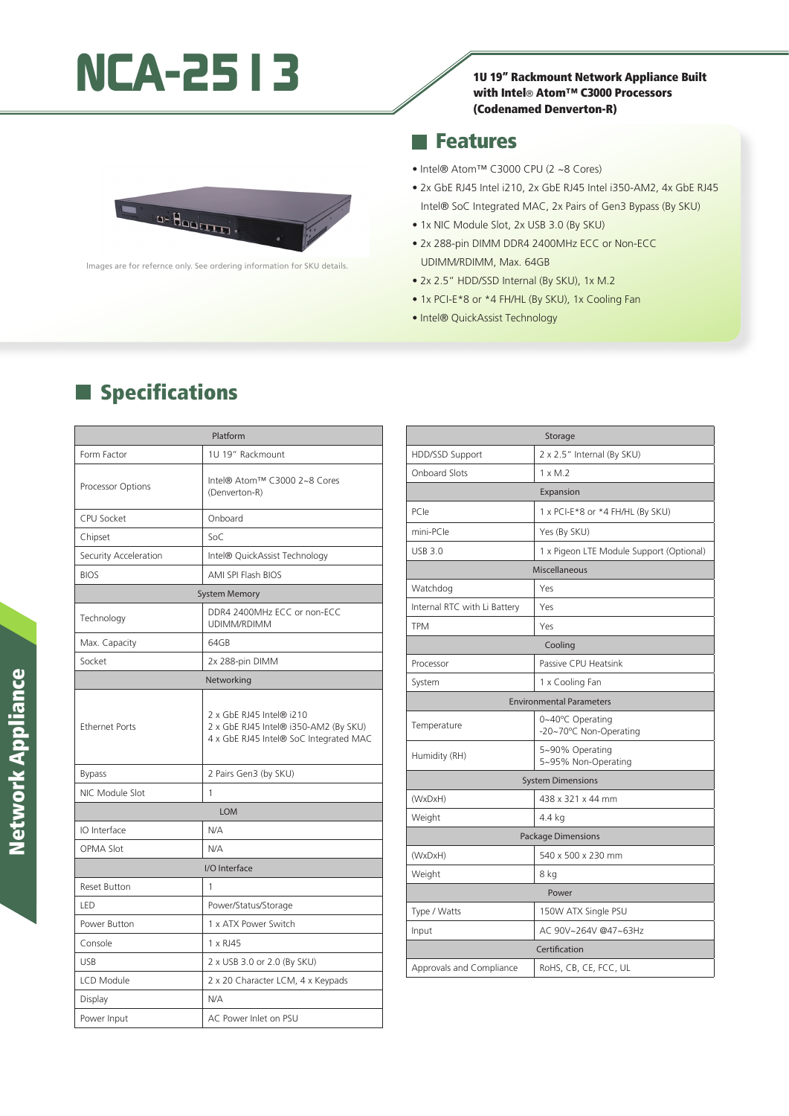# NCA-2513 1U 19" Rackmount Network Appliance Built

with Intel® Atom™ C3000 Processors (Codenamed Denverton-R)

### **Features**

as Haarman

lmages are for refernce only. See ordering information for SKU details.

 $\blacksquare$  Specifications

- Intel® Atom™ C3000 CPU (2 ~8 Cores)
- 2x GbE RJ45 Intel i210, 2x GbE RJ45 Intel i350-AM2, 4x GbE RJ45 Intel® SoC Integrated MAC, 2x Pairs of Gen3 Bypass (By SKU)
- 1x NIC Module Slot, 2x USB 3.0 (By SKU)
- 2x 288-pin DIMM DDR4 2400MHz ECC or Non-ECC UDIMM/RDIMM, Max. 64GB
- 2x 2.5" HDD/SSD Internal (By SKU), 1x M.2
- 1x PCI-E\*8 or \*4 FH/HL (By SKU), 1x Cooling Fan
- Intel® QuickAssist Technology

| Platform              |                                                                                                             |  |
|-----------------------|-------------------------------------------------------------------------------------------------------------|--|
| Form Factor           | 1U 19" Rackmount                                                                                            |  |
| Processor Options     | Intel® Atom™ C3000 2~8 Cores<br>(Denverton-R)                                                               |  |
| <b>CPU Socket</b>     | Onboard                                                                                                     |  |
| Chipset               | SoC                                                                                                         |  |
| Security Acceleration | Intel® QuickAssist Technology                                                                               |  |
| <b>BIOS</b>           | <b>AMI SPI Flash BIOS</b>                                                                                   |  |
| <b>System Memory</b>  |                                                                                                             |  |
| Technology            | DDR4 2400MHz ECC or non-ECC<br>UDIMM/RDIMM                                                                  |  |
| Max. Capacity         | 64GB                                                                                                        |  |
| Socket                | 2x 288-pin DIMM                                                                                             |  |
| Networking            |                                                                                                             |  |
| <b>Ethernet Ports</b> | 2 x GbE RJ45 Intel® i210<br>2 x GbE RJ45 Intel® i350-AM2 (By SKU)<br>4 x GbE RJ45 Intel® SoC Integrated MAC |  |
| <b>Bypass</b>         | 2 Pairs Gen3 (by SKU)                                                                                       |  |
| NIC Module Slot       | 1                                                                                                           |  |
| <b>LOM</b>            |                                                                                                             |  |
| IO Interface          | N/A                                                                                                         |  |
| <b>OPMA Slot</b>      | N/A                                                                                                         |  |
| I/O Interface         |                                                                                                             |  |
| <b>Reset Button</b>   | 1                                                                                                           |  |
| LED                   | Power/Status/Storage                                                                                        |  |
| Power Button          | 1 x ATX Power Switch                                                                                        |  |
| Console               | 1 x RJ45                                                                                                    |  |
| <b>USB</b>            | 2 x USB 3.0 or 2.0 (By SKU)                                                                                 |  |
| LCD Module            | 2 x 20 Character LCM, 4 x Keypads                                                                           |  |
| Display               | N/A                                                                                                         |  |
| Power Input           | AC Power Inlet on PSU                                                                                       |  |

|                                 | Storage                                    |  |
|---------------------------------|--------------------------------------------|--|
| HDD/SSD Support                 | 2 x 2.5" Internal (By SKU)                 |  |
| <b>Onboard Slots</b>            | $1 \times M.2$                             |  |
| Expansion                       |                                            |  |
| PCIe                            | 1 x PCI-E*8 or *4 FH/HL (By SKU)           |  |
| mini-PCle                       | Yes (By SKU)                               |  |
| <b>USB 3.0</b>                  | 1 x Pigeon LTE Module Support (Optional)   |  |
| Miscellaneous                   |                                            |  |
| Watchdog                        | Yes                                        |  |
| Internal RTC with Li Battery    | Yes                                        |  |
| <b>TPM</b>                      | Yes                                        |  |
| Cooling                         |                                            |  |
| Processor                       | Passive CPU Heatsink                       |  |
| System                          | 1 x Cooling Fan                            |  |
| <b>Environmental Parameters</b> |                                            |  |
| Temperature                     | 0~40°C Operating<br>-20~70°C Non-Operating |  |
| Humidity (RH)                   | 5~90% Operating<br>5~95% Non-Operating     |  |
| <b>System Dimensions</b>        |                                            |  |
| (WxDxH)                         | 438 x 321 x 44 mm                          |  |
| Weight                          | 4.4 kg                                     |  |
| Package Dimensions              |                                            |  |
| (WxDxH)                         | 540 x 500 x 230 mm                         |  |
| Weight                          | 8 kg                                       |  |
| Power                           |                                            |  |
| Type / Watts                    | 150W ATX Single PSU                        |  |
| Input                           | AC 90V~264V @47~63Hz                       |  |
| Certification                   |                                            |  |
| Approvals and Compliance        | RoHS, CB, CE, FCC, UL                      |  |

# **Network Appliance** Network Appliance